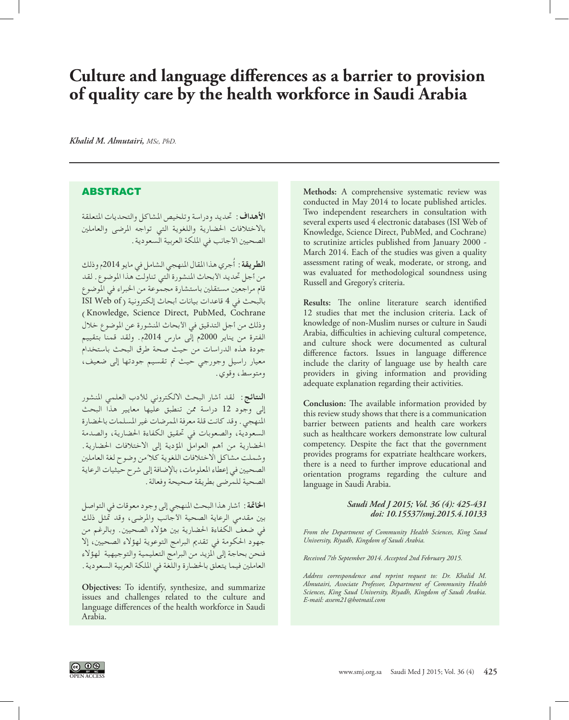# **Culture and language differences as a barrier to provision of quality care by the health workforce in Saudi Arabia**

*Khalid M. Almutairi, MSc, PhD.*

## ABSTRACT

**األهداف:** حتديد ودراسة وتلخيص املشاكل والتحديات املتعلقة باالختالفات احلضارية واللغوية التي تواجه املرضى والعاملني الصحيين الأجانب في الملكة العربية السعودية .

ُجري هذا املقال املنهجي الشامل في مايو 2014م وذلك **الطريقة:** أ من أجل تحديد الأبحاث المنشورة التي تناولت هذا الموضوع. لقد قام مراجعني مستقلني باستشارة مجموعة من اخلبراء في املوضوع بالبحث في 4 قاعدات بيانات أبحاث إلكترونية ( ISI Web of )Knowledge, Science Direct, PubMed, Cochrane وذلك من أجل التدقيق في األبحاث املنشورة عن املوضوع خالل الفترة من يناير 2000م إلى مارس 2014م. ولقد قمنا بتقييم جودة هذه الدراسات من حيث صحة طرق البحث باستخدام معيار راسيل وجورجي حيث مت تقسيم جودتها إلى ضعيف، ومتوسط، وقوي.

**النتائج:** لقد أشار البحث االلكتروني لألدب العلمي املنشور إلى وجود 12 دراسة ممن تنطبق عليها معايير هذا البحث املنهجي. وقد كانت قلة معرفة املمرضات غير املسلمات باحلضارة السعودية، والصعوبات في حتقيق الكفاءة احلضارية، والصدمة احلضارية من أهم العوامل املؤدية إلى االختالفات احلضارية. وشملت مشاكل الاختلافات اللغوية كلاً من وضوح لغة العاملين<br>... الصحيني في إعطاء املعلومات، باإلضافة إلى شرح حيثيات الرعاية الصحية للمرضى بطريقة صحيحة وفعالة.

**اخلامتة:** أشار هذا البحث املنهجي إلى وجود معوقات في التواصل بني مقدمي الرعاية الصحية األجانب واملرضى، وقد متثل ذلك في ضعف الكفاءة احلضارية بني هؤالء الصحيني. وبالرغم من جهود احلكومة في تقدمي البرامج التوعوية لهؤالء الصحيني، إال فنحن بحاجة إلى املزيد من البرامج التعليمية والتوجيهية لهؤالء العاملني فيما يتعلق باحلضارة واللغة في امللكة العربية السعودية.

**Objectives:** To identify, synthesize, and summarize issues and challenges related to the culture and language differences of the health workforce in Saudi Arabia.

**Methods:** A comprehensive systematic review was conducted in May 2014 to locate published articles. Two independent researchers in consultation with several experts used 4 electronic databases (ISI Web of Knowledge, Science Direct, PubMed, and Cochrane) to scrutinize articles published from January 2000 - March 2014. Each of the studies was given a quality assessment rating of weak, moderate, or strong, and was evaluated for methodological soundness using Russell and Gregory's criteria.

**Results:** The online literature search identified 12 studies that met the inclusion criteria. Lack of knowledge of non-Muslim nurses or culture in Saudi Arabia, difficulties in achieving cultural competence, and culture shock were documented as cultural difference factors. Issues in language difference include the clarity of language use by health care providers in giving information and providing adequate explanation regarding their activities.

**Conclusion:** The available information provided by this review study shows that there is a communication barrier between patients and health care workers such as healthcare workers demonstrate low cultural competency. Despite the fact that the government provides programs for expatriate healthcare workers, there is a need to further improve educational and orientation programs regarding the culture and language in Saudi Arabia.

### *Saudi Med J 2015; Vol. 36 (4): 425-431 doi: 10.15537/smj.2015.4.10133*

*From the Department of Community Health Sciences, King Saud University, Riyadh, Kingdom of Saudi Arabia.*

*Received 7th September 2014. Accepted 2nd February 2015.*

*Address correspondence and reprint request to: Dr. Khalid M. Almutairi, Associate Professor, Department of Community Health Sciences, King Saud University, Riyadh, Kingdom of Saudi Arabia. E-mail: assem21@hotmail.com*

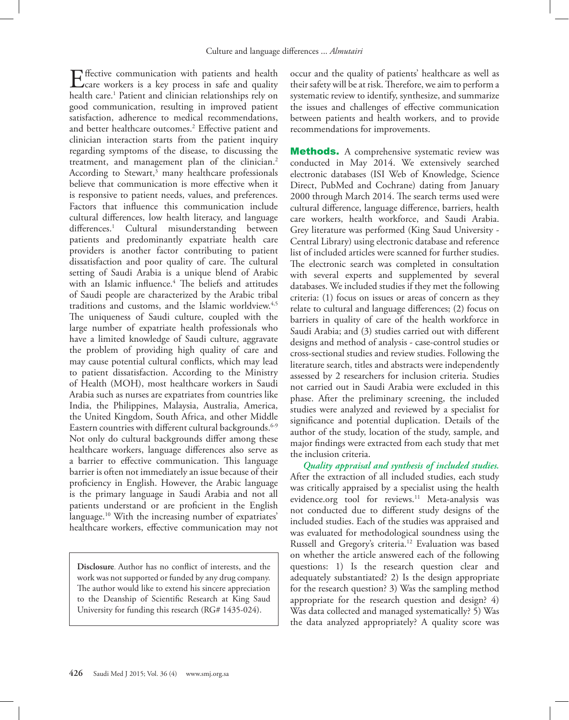$E_{\text{core}}$  ffective communication with patients and health care workers is a key process in safe and quality health care.[1](#page-5-0) Patient and clinician relationships rely on good communication, resulting in improved patient satisfaction, adherence to medical recommendations, and better healthcare outcomes[.2](#page-5-1) Effective patient and clinician interaction starts from the patient inquiry regarding symptoms of the disease, to discussing the treatment, and management plan of the clinician.<sup>2</sup> According to Stewart,<sup>3</sup> many healthcare professionals believe that communication is more effective when it is responsive to patient needs, values, and preferences. Factors that influence this communication include cultural differences, low health literacy, and language differences.<sup>1</sup> Cultural misunderstanding between patients and predominantly expatriate health care providers is another factor contributing to patient dissatisfaction and poor quality of care. The cultural setting of Saudi Arabia is a unique blend of Arabic with an Islamic influence.[4](#page-5-0) The beliefs and attitudes of Saudi people are characterized by the Arabic tribal traditions and customs, and the Islamic worldview.<sup>[4](#page-5-2),5</sup> The uniqueness of Saudi culture, coupled with the large number of expatriate health professionals who have a limited knowledge of Saudi culture, aggravate the problem of providing high quality of care and may cause potential cultural conflicts, which may lead to patient dissatisfaction. According to the Ministry of Health (MOH), most healthcare workers in Saudi Arabia such as nurses are expatriates from countries like India, the Philippines, Malaysia, Australia, America, the United Kingdom, South Africa, and other Middle Eastern countries with different cultural backgrounds.<sup>6[-9](#page-5-5)</sup> Not only do cultural backgrounds differ among these healthcare workers, language differences also serve as a barrier to effective communication. This language barrier is often not immediately an issue because of their proficiency in English. However, the Arabic language is the primary language in Saudi Arabia and not all patients understand or are proficient in the English language.<sup>[10](#page-5-6)</sup> With the increasing number of expatriates' healthcare workers, effective communication may not

**Disclosure**. Author has no conflict of interests, and the work was not supported or funded by any drug company. The author would like to extend his sincere appreciation to the Deanship of Scientific Research at King Saud University for funding this research (RG# 1435-024).

occur and the quality of patients' healthcare as well as their safety will be at risk. Therefore, we aim to perform a systematic review to identify, synthesize, and summarize the issues and challenges of effective communication between patients and health workers, and to provide recommendations for improvements.

**Methods.** A comprehensive systematic review was conducted in May 2014. We extensively searched electronic databases (ISI Web of Knowledge, Science Direct, PubMed and Cochrane) dating from January 2000 through March 2014. The search terms used were cultural difference, language difference, barriers, health care workers, health workforce, and Saudi Arabia. Grey literature was performed (King Saud University - Central Library) using electronic database and reference list of included articles were scanned for further studies. The electronic search was completed in consultation with several experts and supplemented by several databases. We included studies if they met the following criteria: (1) focus on issues or areas of concern as they relate to cultural and language differences; (2) focus on barriers in quality of care of the health workforce in Saudi Arabia; and (3) studies carried out with different designs and method of analysis - case-control studies or cross-sectional studies and review studies. Following the literature search, titles and abstracts were independently assessed by 2 researchers for inclusion criteria. Studies not carried out in Saudi Arabia were excluded in this phase. After the preliminary screening, the included studies were analyzed and reviewed by a specialist for significance and potential duplication. Details of the author of the study, location of the study, sample, and major findings were extracted from each study that met the inclusion criteria.

*Quality appraisal and synthesis of included studies.*  After the extraction of all included studies, each study was critically appraised by a specialist using the health evidence.org tool for reviews.<sup>11</sup> Meta-analysis was not conducted due to different study designs of the included studies. Each of the studies was appraised and was evaluated for methodological soundness using the Russell and Gregory's criteria.<sup>[12](#page-5-8)</sup> Evaluation was based on whether the article answered each of the following questions: 1) Is the research question clear and adequately substantiated? 2) Is the design appropriate for the research question? 3) Was the sampling method appropriate for the research question and design? 4) Was data collected and managed systematically? 5) Was the data analyzed appropriately? A quality score was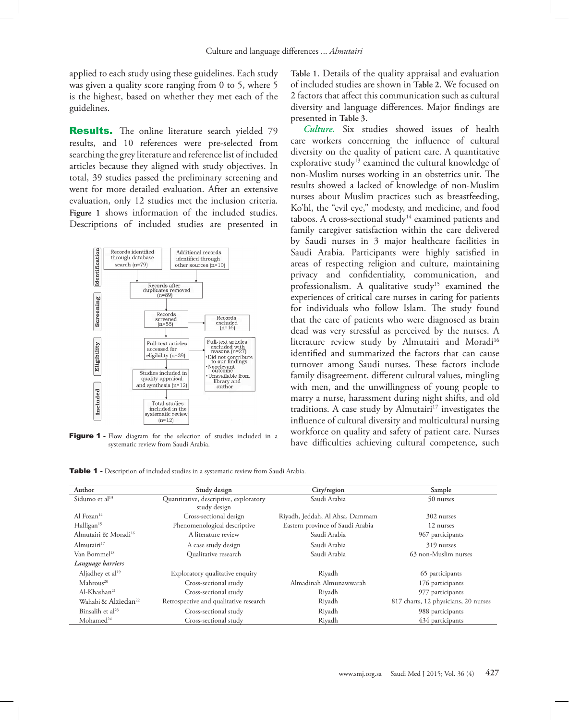applied to each study using these guidelines. Each study was given a quality score ranging from 0 to 5, where 5 is the highest, based on whether they met each of the guidelines.

**Results.** The online literature search yielded 79 results, and 10 references were pre-selected from searching the grey literature and reference list of included articles because they aligned with study objectives. In total, 39 studies passed the preliminary screening and went for more detailed evaluation. After an extensive evaluation, only 12 studies met the inclusion criteria. **[Figure 1](#page-2-0)** shows information of the included studies. Descriptions of included studies are presented in



<span id="page-2-0"></span>Figure 1 - Flow diagram for the selection of studies included in a systematic review from Saudi Arabia.

**[Table 1](#page-2-1)**. Details of the quality appraisal and evaluation of included studies are shown in **[Table 2](#page-3-0)**. We focused on 2 factors that affect this communication such as cultural diversity and language differences. Major findings are presented in **[Table 3](#page-3-1)**.

*Culture.* Six studies showed issues of health care workers concerning the influence of cultural diversity on the quality of patient care. A quantitative explorative study<sup>[13](#page-5-9)</sup> examined the cultural knowledge of non-Muslim nurses working in an obstetrics unit. The results showed a lacked of knowledge of non-Muslim nurses about Muslim practices such as breastfeeding, Ko'hl, the "evil eye," modesty, and medicine, and food taboos. A cross-sectional study<sup>14</sup> examined patients and family caregiver satisfaction within the care delivered by Saudi nurses in 3 major healthcare facilities in Saudi Arabia. Participants were highly satisfied in areas of respecting religion and culture, maintaining privacy and confidentiality, communication, and professionalism. A qualitative study<sup>[15](#page-5-11)</sup> examined the experiences of critical care nurses in caring for patients for individuals who follow Islam. The study found that the care of patients who were diagnosed as brain dead was very stressful as perceived by the nurses. A literature review study by Almutairi and Moradi<sup>16</sup> identified and summarized the factors that can cause turnover among Saudi nurses. These factors include family disagreement, different cultural values, mingling with men, and the unwillingness of young people to marry a nurse, harassment during night shifts, and old traditions. A case study by Almutairi $17$  investigates the influence of cultural diversity and multicultural nursing workforce on quality and safety of patient care. Nurses have difficulties achieving cultural competence, such

<span id="page-2-1"></span>

|  | <b>Table 1</b> - Description of included studies in a systematic review from Saudi Arabia. |  |  |  |  |  |  |  |
|--|--------------------------------------------------------------------------------------------|--|--|--|--|--|--|--|
|--|--------------------------------------------------------------------------------------------|--|--|--|--|--|--|--|

| Author                           | Study design                                           | City/region                      | Sample                               |  |
|----------------------------------|--------------------------------------------------------|----------------------------------|--------------------------------------|--|
| Sidumo et al <sup>13</sup>       | Quantitative, descriptive, exploratory<br>study design | Saudi Arabia                     | 50 nurses                            |  |
| Al Fozan $14$                    | Cross-sectional design                                 | Riyadh, Jeddah, Al Ahsa, Dammam  | 302 nurses                           |  |
| Halligan <sup>15</sup>           | Phenomenological descriptive                           | Eastern province of Saudi Arabia | 12 nurses                            |  |
| Almutairi & Moradi <sup>16</sup> | A literature review                                    | Saudi Arabia                     | 967 participants                     |  |
| Almutairi <sup>17</sup>          | A case study design                                    | Saudi Arabia                     | 319 nurses                           |  |
| Van Bommel <sup>18</sup>         | Qualitative research                                   | Saudi Arabia                     | 63 non-Muslim nurses                 |  |
| Language barriers                |                                                        |                                  |                                      |  |
| Aljadhey et al <sup>19</sup>     | Exploratory qualitative enquiry                        | Riyadh                           | 65 participants                      |  |
| Mahrous <sup>20</sup>            | Cross-sectional study                                  | Almadinah Almunawwarah           | 176 participants                     |  |
| Al-Khashan <sup>21</sup>         | Cross-sectional study                                  | Riyadh                           | 977 participants                     |  |
| Wahabi & Alziedan <sup>22</sup>  | Retrospective and qualitative research                 | Riyadh                           | 817 charts, 12 physicians, 20 nurses |  |
| Binsalih et al <sup>23</sup>     | Cross-sectional study                                  | Riyadh                           | 988 participants                     |  |
| Mohamed <sup>24</sup>            | Cross-sectional study                                  | Riyadh                           | 434 participants                     |  |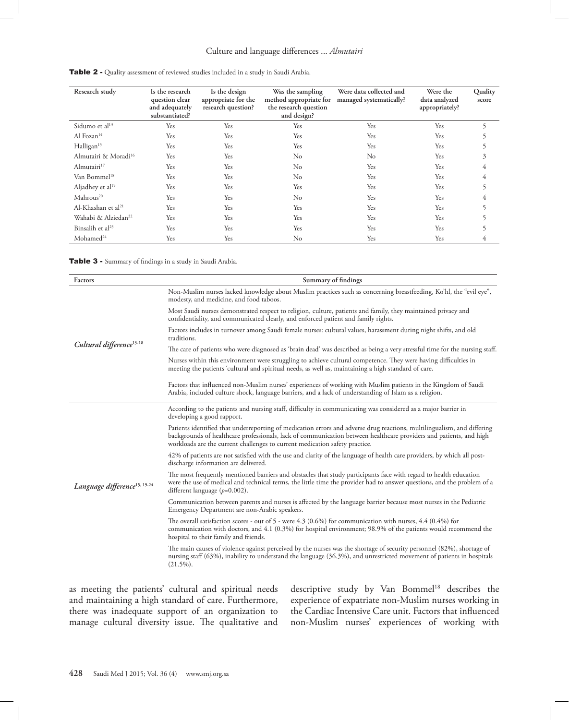## Culture and language differences ... *Almutairi*

| Research study                   | Is the research<br>question clear<br>and adequately<br>substantiated? | Is the design<br>appropriate for the<br>research question? | Was the sampling<br>method appropriate for<br>the research question<br>and design? | Were data collected and<br>managed systematically? | Were the<br>data analyzed<br>appropriately? | Quality<br>score |
|----------------------------------|-----------------------------------------------------------------------|------------------------------------------------------------|------------------------------------------------------------------------------------|----------------------------------------------------|---------------------------------------------|------------------|
| Sidumo et al <sup>13</sup>       | Yes                                                                   | Yes                                                        | Yes                                                                                | Yes                                                | Yes                                         | 5                |
| Al Fozan <sup>14</sup>           | Yes                                                                   | Yes                                                        | Yes                                                                                | Yes                                                | Yes                                         | 5                |
| Halligan <sup>15</sup>           | Yes                                                                   | Yes                                                        | Yes                                                                                | Yes                                                | Yes                                         | 5                |
| Almutairi & Moradi <sup>16</sup> | Yes                                                                   | Yes                                                        | $\rm No$                                                                           | No                                                 | Yes                                         | 3                |
| Almutairi $17$                   | Yes                                                                   | Yes                                                        | $\rm No$                                                                           | Yes                                                | Yes                                         | 4                |
| Van Bommel <sup>18</sup>         | Yes                                                                   | Yes                                                        | $\rm No$                                                                           | Yes                                                | Yes                                         | 4                |
| Aljadhey et al <sup>19</sup>     | Yes                                                                   | Yes                                                        | Yes                                                                                | Yes                                                | Yes                                         | 5                |
| Mahrous <sup>20</sup>            | Yes                                                                   | Yes                                                        | $\rm No$                                                                           | Yes                                                | Yes                                         | 4                |
| Al-Khashan et al <sup>21</sup>   | Yes                                                                   | Yes                                                        | Yes                                                                                | Yes                                                | Yes                                         | 5                |
| Wahabi & Alziedan <sup>22</sup>  | Yes                                                                   | Yes                                                        | Yes                                                                                | Yes                                                | Yes                                         | 5                |
| Binsalih et al <sup>23</sup>     | Yes                                                                   | Yes                                                        | Yes                                                                                | Yes                                                | Yes                                         |                  |
| Mohamed <sup>24</sup>            | Yes                                                                   | Yes                                                        | $\rm No$                                                                           | Yes                                                | Yes                                         | 4                |

<span id="page-3-0"></span>Table 2 - Quality assessment of reviewed studies included in a study in Saudi Arabia.

<span id="page-3-1"></span>Table 3 - Summary of findings in a study in Saudi Arabia.

| Factors                                  | Summary of findings                                                                                                                                                                                                                                                                                                          |  |  |  |
|------------------------------------------|------------------------------------------------------------------------------------------------------------------------------------------------------------------------------------------------------------------------------------------------------------------------------------------------------------------------------|--|--|--|
|                                          | Non-Muslim nurses lacked knowledge about Muslim practices such as concerning breastfeeding, Ko'hl, the "evil eye",<br>modesty, and medicine, and food taboos.                                                                                                                                                                |  |  |  |
|                                          | Most Saudi nurses demonstrated respect to religion, culture, patients and family, they maintained privacy and<br>confidentiality, and communicated clearly, and enforced patient and family rights.                                                                                                                          |  |  |  |
|                                          | Factors includes in turnover among Saudi female nurses: cultural values, harassment during night shifts, and old<br>traditions.                                                                                                                                                                                              |  |  |  |
| Cultural difference <sup>13-18</sup>     | The care of patients who were diagnosed as 'brain dead' was described as being a very stressful time for the nursing staff.                                                                                                                                                                                                  |  |  |  |
|                                          | Nurses within this environment were struggling to achieve cultural competence. They were having difficulties in<br>meeting the patients 'cultural and spiritual needs, as well as, maintaining a high standard of care.                                                                                                      |  |  |  |
|                                          | Factors that influenced non-Muslim nurses' experiences of working with Muslim patients in the Kingdom of Saudi<br>Arabia, included culture shock, language barriers, and a lack of understanding of Islam as a religion.                                                                                                     |  |  |  |
|                                          | According to the patients and nursing staff, difficulty in communicating was considered as a major barrier in<br>developing a good rapport.                                                                                                                                                                                  |  |  |  |
|                                          | Patients identified that underreporting of medication errors and adverse drug reactions, multilingualism, and differing<br>backgrounds of healthcare professionals, lack of communication between healthcare providers and patients, and high<br>workloads are the current challenges to current medication safety practice. |  |  |  |
|                                          | 42% of patients are not satisfied with the use and clarity of the language of health care providers, by which all post-<br>discharge information are delivered.                                                                                                                                                              |  |  |  |
| Language difference <sup>15, 19-24</sup> | The most frequently mentioned barriers and obstacles that study participants face with regard to health education<br>were the use of medical and technical terms, the little time the provider had to answer questions, and the problem of a<br>different language $(p=0.002)$ .                                             |  |  |  |
|                                          | Communication between parents and nurses is affected by the language barrier because most nurses in the Pediatric<br>Emergency Department are non-Arabic speakers.                                                                                                                                                           |  |  |  |
|                                          | The overall satisfaction scores - out of 5 - were 4.3 (0.6%) for communication with nurses, 4.4 (0.4%) for<br>communication with doctors, and 4.1 (0.3%) for hospital environment; 98.9% of the patients would recommend the<br>hospital to their family and friends.                                                        |  |  |  |
|                                          | The main causes of violence against perceived by the nurses was the shortage of security personnel (82%), shortage of<br>nursing staff (63%), inability to understand the language (36.3%), and unrestricted movement of patients in hospitals<br>$(21.5\%)$ .                                                               |  |  |  |

as meeting the patients' cultural and spiritual needs and maintaining a high standard of care. Furthermore, there was inadequate support of an organization to manage cultural diversity issue. The qualitative and descriptive study by Van Bommel<sup>[18](#page-6-2)</sup> describes the experience of expatriate non-Muslim nurses working in the Cardiac Intensive Care unit. Factors that influenced non-Muslim nurses' experiences of working with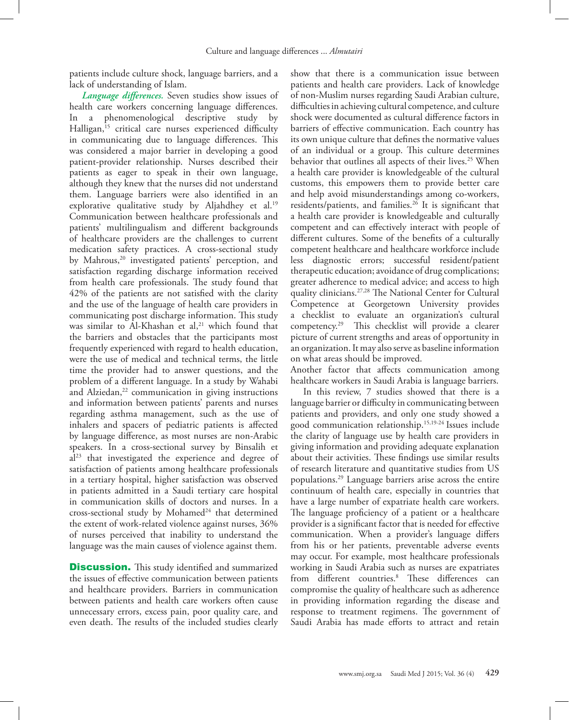patients include culture shock, language barriers, and a lack of understanding of Islam.

*Language differences.* Seven studies show issues of health care workers concerning language differences. In a phenomenological descriptive study by Halligan,<sup>15</sup> critical care nurses experienced difficulty in communicating due to language differences. This was considered a major barrier in developing a good patient-provider relationship. Nurses described their patients as eager to speak in their own language, although they knew that the nurses did not understand them. Language barriers were also identified in an explorative qualitative study by Aljahdhey et al.<sup>19</sup> Communication between healthcare professionals and patients' multilingualism and different backgrounds of healthcare providers are the challenges to current medication safety practices. A cross-sectional study by Mahrous,<sup>20</sup> investigated patients' perception, and satisfaction regarding discharge information received from health care professionals. The study found that 42% of the patients are not satisfied with the clarity and the use of the language of health care providers in communicating post discharge information. This study was similar to Al-Khashan et al,<sup>21</sup> which found that the barriers and obstacles that the participants most frequently experienced with regard to health education, were the use of medical and technical terms, the little time the provider had to answer questions, and the problem of a different language. In a study by Wahabi and Alziedan,<sup>[22](#page-6-6)</sup> communication in giving instructions and information between patients' parents and nurses regarding asthma management, such as the use of inhalers and spacers of pediatric patients is affected by language difference, as most nurses are non-Arabic speakers. In a cross-sectional survey by Binsalih et al<sup>[23](#page-6-7)</sup> that investigated the experience and degree of satisfaction of patients among healthcare professionals in a tertiary hospital, higher satisfaction was observed in patients admitted in a Saudi tertiary care hospital in communication skills of doctors and nurses. In a cross-sectional study by Mohamed<sup>24</sup> that determined the extent of work-related violence against nurses, 36% of nurses perceived that inability to understand the language was the main causes of violence against them.

**Discussion.** This study identified and summarized the issues of effective communication between patients and healthcare providers. Barriers in communication between patients and health care workers often cause unnecessary errors, excess pain, poor quality care, and even death. The results of the included studies clearly show that there is a communication issue between patients and health care providers. Lack of knowledge of non-Muslim nurses regarding Saudi Arabian culture, difficulties in achieving cultural competence, and culture shock were documented as cultural difference factors in barriers of effective communication. Each country has its own unique culture that defines the normative values of an individual or a group. This culture determines behavior that outlines all aspects of their lives.<sup>[25](#page-6-9)</sup> When a health care provider is knowledgeable of the cultural customs, this empowers them to provide better care and help avoid misunderstandings among co-workers, residents/patients, and families[.26](#page-6-10) It is significant that a health care provider is knowledgeable and culturally competent and can effectively interact with people of different cultures. Some of the benefits of a culturally competent healthcare and healthcare workforce include less diagnostic errors; successful resident/patient therapeutic education; avoidance of drug complications; greater adherence to medical advice; and access to high quality clinicians[.27,](#page-6-11)[28](#page-6-12) The National Center for Cultural Competence at Georgetown University provides a checklist to evaluate an organization's cultural competency.[29](#page-6-13) This checklist will provide a clearer picture of current strengths and areas of opportunity in an organization. It may also serve as baseline information on what areas should be improved.

Another factor that affects communication among healthcare workers in Saudi Arabia is language barriers.

In this review, 7 studies showed that there is a language barrier or difficulty in communicating between patients and providers, and only one study showed a good communication relationship.[15](#page-5-11),[19](#page-6-3)[-24](#page-6-8) Issues include the clarity of language use by health care providers in giving information and providing adequate explanation about their activities. These findings use similar results of research literature and quantitative studies from US populations.[29](#page-6-13) Language barriers arise across the entire continuum of health care, especially in countries that have a large number of expatriate health care workers. The language proficiency of a patient or a healthcare provider is a significant factor that is needed for effective communication. When a provider's language differs from his or her patients, preventable adverse events may occur. For example, most healthcare professionals working in Saudi Arabia such as nurses are expatriates from different countries.[8](#page-5-12) These differences can compromise the quality of healthcare such as adherence in providing information regarding the disease and response to treatment regimens. The government of Saudi Arabia has made efforts to attract and retain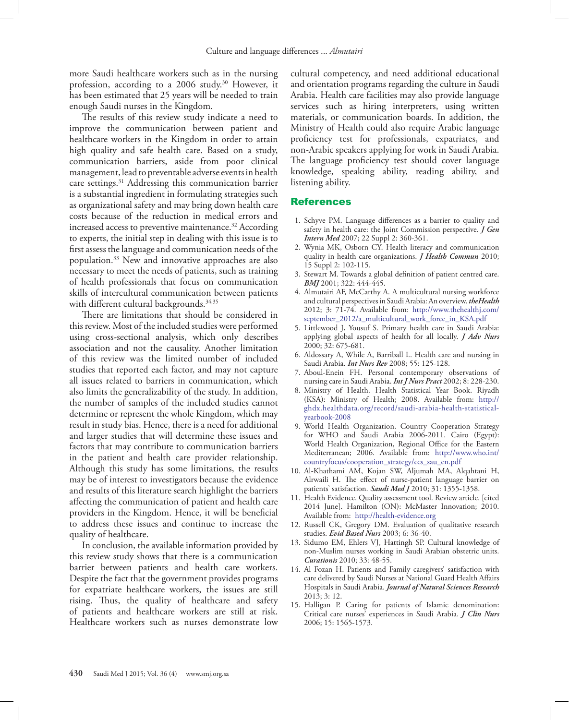more Saudi healthcare workers such as in the nursing profession, according to a 2006 study.<sup>30</sup> However, it has been estimated that 25 years will be needed to train enough Saudi nurses in the Kingdom.

The results of this review study indicate a need to improve the communication between patient and healthcare workers in the Kingdom in order to attain high quality and safe health care. Based on a study, communication barriers, aside from poor clinical management, lead to preventable adverse events in health care settings.<sup>31</sup> Addressing this communication barrier is a substantial ingredient in formulating strategies such as organizational safety and may bring down health care costs because of the reduction in medical errors and increased access to preventive maintenance.<sup>32</sup> According to experts, the initial step in dealing with this issue is to first assess the language and communication needs of the population.33 New and innovative approaches are also necessary to meet the needs of patients, such as training of health professionals that focus on communication skills of intercultural communication between patients with different cultural backgrounds.<sup>34,35</sup>

There are limitations that should be considered in this review. Most of the included studies were performed using cross-sectional analysis, which only describes association and not the causality. Another limitation of this review was the limited number of included studies that reported each factor, and may not capture all issues related to barriers in communication, which also limits the generalizability of the study. In addition, the number of samples of the included studies cannot determine or represent the whole Kingdom, which may result in study bias. Hence, there is a need for additional and larger studies that will determine these issues and factors that may contribute to communication barriers in the patient and health care provider relationship. Although this study has some limitations, the results may be of interest to investigators because the evidence and results of this literature search highlight the barriers affecting the communication of patient and health care providers in the Kingdom. Hence, it will be beneficial to address these issues and continue to increase the quality of healthcare.

In conclusion, the available information provided by this review study shows that there is a communication barrier between patients and health care workers. Despite the fact that the government provides programs for expatriate healthcare workers, the issues are still rising. Thus, the quality of healthcare and safety of patients and healthcare workers are still at risk. Healthcare workers such as nurses demonstrate low

cultural competency, and need additional educational and orientation programs regarding the culture in Saudi Arabia. Health care facilities may also provide language services such as hiring interpreters, using written materials, or communication boards. In addition, the Ministry of Health could also require Arabic language proficiency test for professionals, expatriates, and non-Arabic speakers applying for work in Saudi Arabia. The language proficiency test should cover language knowledge, speaking ability, reading ability, and listening ability.

#### References

- <span id="page-5-0"></span> 1. [Schyve PM. Language differences as a barrier to quality and](doi: 10.1007/s11606-007-0365-3)  [safety in health care: the Joint Commission perspective.](doi: 10.1007/s11606-007-0365-3) *J Gen Intern Med* [2007; 22 Suppl 2: 360-361.](doi: 10.1007/s11606-007-0365-3)
- <span id="page-5-1"></span> 2. [Wynia MK, Osborn CY. Health literacy and communication](doi: 10.1080/10810730.2010.499981)  [quality in health care organizations.](doi: 10.1080/10810730.2010.499981) *J Health Commun* 2010; [15 Suppl 2: 102-115.](doi: 10.1080/10810730.2010.499981)
- 3. [Stewart M. Towards a global definition of patient centred care.](doi: http://dx.doi.org/10.1136/bmj.322.7284.444)  *BMJ* [2001; 322: 444-445.](doi: http://dx.doi.org/10.1136/bmj.322.7284.444)
- <span id="page-5-2"></span> 4. [Almutairi AF, McCarthy A. A multicultural nursing workforce](http://www.thehealthj.com/september_2012/a_multicultural_work_force_in_KSA.pdf)  [and cultural perspectives in Saudi Arabia: An overview.](http://www.thehealthj.com/september_2012/a_multicultural_work_force_in_KSA.pdf) *theHealth*  [2012; 3: 71-74. Available from: http://www.thehealthj.com/](http://www.thehealthj.com/september_2012/a_multicultural_work_force_in_KSA.pdf) [september\\_2012/a\\_multicultural\\_work\\_force\\_in\\_KSA.pdf](http://www.thehealthj.com/september_2012/a_multicultural_work_force_in_KSA.pdf)
- <span id="page-5-3"></span> 5. [Littlewood J, Yousuf S. Primary health care in Saudi Arabia:](doi: 10.1046/j.1365-2648.2000.01527.x )  [applying global aspects of health for all locally.](doi: 10.1046/j.1365-2648.2000.01527.x ) *J Adv Nurs*  [2000; 32: 675-681.](doi: 10.1046/j.1365-2648.2000.01527.x )
- <span id="page-5-4"></span> 6. [Aldossary A, While A, Barriball L. Health care and nursing in](doi: 10.1111/j.1466-7657.2007.00596.x)  Saudi Arabia. *Int Nurs Rev* [2008; 55: 125-128.](doi: 10.1111/j.1466-7657.2007.00596.x)
- 7. [Aboul-Enein FH. Personal contemporary observations of](doi: 10.1046/j.1440-172X.2002.00370.x)  [nursing care in Saudi Arabia.](doi: 10.1046/j.1440-172X.2002.00370.x) *Int J Nurs Pract* 2002; 8: 228-230.
- <span id="page-5-12"></span> 8. [Ministry of Health. Health Statistical Year Book. Riyadh](http://ghdx.healthdata.org/record/saudi-arabia-health-statistical-yearbook-2008)  [\(KSA\): Ministry of Health; 2008. Available from: http://](http://ghdx.healthdata.org/record/saudi-arabia-health-statistical-yearbook-2008) [ghdx.healthdata.org/record/saudi-arabia-health-statistical](http://ghdx.healthdata.org/record/saudi-arabia-health-statistical-yearbook-2008)[yearbook-2008](http://ghdx.healthdata.org/record/saudi-arabia-health-statistical-yearbook-2008)
- <span id="page-5-5"></span> 9. [World Health Organization. Country Cooperation Strategy](http://www.who.int/countryfocus/cooperation_strategy/ccs_sau_en.pdf)  [for WHO and Saudi Arabia 2006-2011. Cairo \(Egypt\):](http://www.who.int/countryfocus/cooperation_strategy/ccs_sau_en.pdf)  [World Health Organization, Regional Office for the Eastern](http://www.who.int/countryfocus/cooperation_strategy/ccs_sau_en.pdf)  [Mediterranean; 2006. Available from: http://www.who.int/](http://www.who.int/countryfocus/cooperation_strategy/ccs_sau_en.pdf) [countryfocus/cooperation\\_strategy/ccs\\_sau\\_en.pdf](http://www.who.int/countryfocus/cooperation_strategy/ccs_sau_en.pdf)
- <span id="page-5-6"></span>10. [Al-Khathami AM, Kojan SW, Aljumah MA, Alqahtani H,](http://130.14.29.110/pubmed/?term=21136000)  [Alrwaili H. The effect of nurse-patient language barrier on](http://130.14.29.110/pubmed/?term=21136000)  patients' satisfaction. *Saudi Med J* [2010; 31: 1355-1358.](http://130.14.29.110/pubmed/?term=21136000)
- <span id="page-5-7"></span>11. [Health Evidence. Quality assessment tool. Review article. \[cited]( http://health-evidence.org)  [2014 June\]. Hamilton \(ON\): McMaster Innovation; 2010.]( http://health-evidence.org)  [Available from: http://health-evidence.org]( http://health-evidence.org)
- <span id="page-5-8"></span>12. [Russell CK, Gregory DM. Evaluation of qualitative research](doi:10.1136/ebn.6.2.36 )  studies. *Evid Based Nurs* [2003; 6: 36-40.](doi:10.1136/ebn.6.2.36 )
- <span id="page-5-9"></span>13. [Sidumo EM, Ehlers VJ, Hattingh SP. Cultural knowledge of](http://130.14.29.110/pubmed/?term=21428239)  [non-Muslim nurses working in Saudi Arabian obstetric units.](http://130.14.29.110/pubmed/?term=21428239)  *Curationis* [2010; 33: 48-55.](http://130.14.29.110/pubmed/?term=21428239)
- <span id="page-5-10"></span>14. [Al Fozan H. Patients and Family caregivers' satisfaction with](www.iiste.org/Journals/index.php/JNSR/article/download/8510/8448)  [care delivered by Saudi Nurses at National Guard Health Affairs](www.iiste.org/Journals/index.php/JNSR/article/download/8510/8448)  Hospitals in Saudi Arabia. *[Journal of Natural Sciences Research](www.iiste.org/Journals/index.php/JNSR/article/download/8510/8448)*  [2013; 3: 12.](www.iiste.org/Journals/index.php/JNSR/article/download/8510/8448)
- <span id="page-5-11"></span>15. [Halligan P. Caring for patients of Islamic denomination:](doi: 10.1111/j.1365-2702.2005.01525.x)  [Critical care nurses' experiences in Saudi Arabia.](doi: 10.1111/j.1365-2702.2005.01525.x) *J Clin Nurs* [2006; 15: 1565-1573.](doi: 10.1111/j.1365-2702.2005.01525.x)